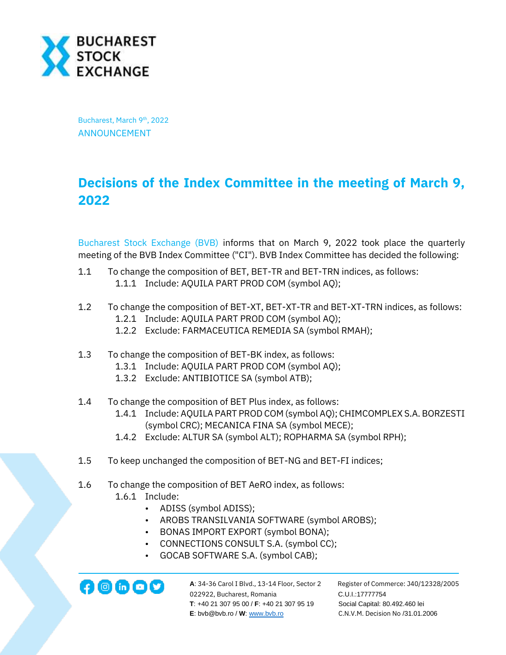

Bucharest, March 9<sup>th</sup>, 2022 ANNOUNCEMENT

## **Decisions of the Index Committee in the meeting of March 9, 2022**

[Bucharest Stock Exchange](http://www.bvb.ro/) [\(BVB\)](http://www.bvb.ro/FinancialInstruments/Details/FinancialInstrumentsDetails.aspx?s=BVB) informs that on March 9, 2022 took place the quarterly meeting of the BVB Index Committee ("CI"). BVB Index Committee has decided the following:

- 1.1 To change the composition of BET, BET-TR and BET-TRN indices, as follows: 1.1.1 Include: AQUILA PART PROD COM (symbol AQ);
- 1.2 To change the composition of BET-XT, BET-XT-TR and BET-XT-TRN indices, as follows: 1.2.1 Include: AQUILA PART PROD COM (symbol AQ);
	- 1.2.2 Exclude: FARMACEUTICA REMEDIA SA (symbol RMAH);
- 1.3 To change the composition of BET-BK index, as follows:
	- 1.3.1 Include: AQUILA PART PROD COM (symbol AQ);
	- 1.3.2 Exclude: ANTIBIOTICE SA (symbol ATB);
- 1.4 To change the composition of BET Plus index, as follows:
	- 1.4.1 Include: AQUILA PART PROD COM (symbol AQ); CHIMCOMPLEX S.A. BORZESTI (symbol CRC); MECANICA FINA SA (symbol MECE);
	- 1.4.2 Exclude: ALTUR SA (symbol ALT); ROPHARMA SA (symbol RPH);
- 1.5 To keep unchanged the composition of BET-NG and BET-FI indices;
- 1.6 To change the composition of BET AeRO index, as follows:
	- 1.6.1 Include:
		- ADISS (symbol ADISS);
		- AROBS TRANSILVANIA SOFTWARE (symbol AROBS);
		- BONAS IMPORT EXPORT (symbol BONA);
		- CONNECTIONS CONSULT S.A. (symbol CC);
		- GOCAB SOFTWARE S.A. (symbol CAB);

**122922, Bucharest, Romania C.U.I.:17777754**<br>022922, Bucharest, Romania C.U.I.:17777754  **T**: +40 21 307 95 00 / **F**: +40 21 307 95 19 Social Capital: 80.492.460 lei **E**: bvb@bvb.ro / **W**[: www.bvb.ro](http://www.bvb.ro/) C.N.V.M. Decision No /31.01.2006

**A**: 34-36 Carol I Blvd., 13-14 Floor, Sector 2 Register of Commerce: J40/12328/2005